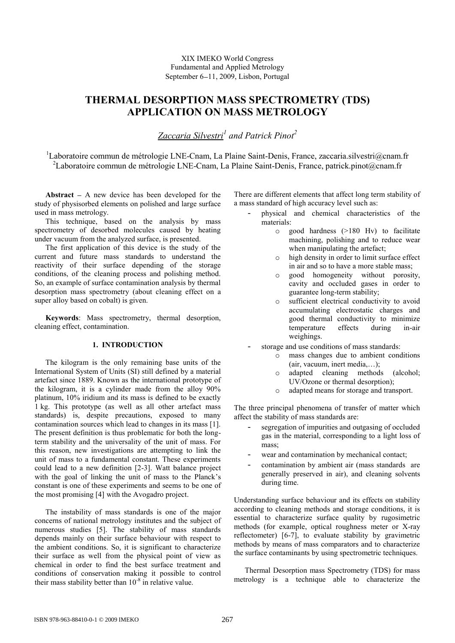## XIX IMEKO World Congress Fundamental and Applied Metrology September 6–11, 2009, Lisbon, Portugal

# **THERMAL DESORPTION MASS SPECTROMETRY (TDS) APPLICATION ON MASS METROLOGY**

*Zaccaria Silvestri<sup>1</sup> and Patrick Pinot<sup>2</sup>*

 $1$ Laboratoire commun de métrologie LNE-Cnam, La Plaine Saint-Denis, France, zaccaria.silvestri@cnam.fr <sup>2</sup>Laboratoire commun de métrologie LNE-Cnam, La Plaine Saint-Denis, France, patrick.pinot@cnam.fr

**Abstract**  $-$  A new device has been developed for the study of physisorbed elements on polished and large surface used in mass metrology.

This technique, based on the analysis by mass spectrometry of desorbed molecules caused by heating under vacuum from the analyzed surface, is presented.

The first application of this device is the study of the current and future mass standards to understand the reactivity of their surface depending of the storage conditions, of the cleaning process and polishing method. So, an example of surface contamination analysis by thermal desorption mass spectrometry (about cleaning effect on a super alloy based on cobalt) is given.

**Keywords**: Mass spectrometry, thermal desorption, cleaning effect, contamination.

## **1. INTRODUCTION**

The kilogram is the only remaining base units of the International System of Units (SI) still defined by a material artefact since 1889. Known as the international prototype of the kilogram, it is a cylinder made from the alloy 90% platinum, 10% iridium and its mass is defined to be exactly 1 kg. This prototype (as well as all other artefact mass standards) is, despite precautions, exposed to many contamination sources which lead to changes in its mass [1]. The present definition is thus problematic for both the longterm stability and the universality of the unit of mass. For this reason, new investigations are attempting to link the unit of mass to a fundamental constant. These experiments could lead to a new definition [2-3]. Watt balance project with the goal of linking the unit of mass to the Planck's constant is one of these experiments and seems to be one of the most promising [4] with the Avogadro project.

The instability of mass standards is one of the major concerns of national metrology institutes and the subject of numerous studies [5]. The stability of mass standards depends mainly on their surface behaviour with respect to the ambient conditions. So, it is significant to characterize their surface as well from the physical point of view as chemical in order to find the best surface treatment and conditions of conservation making it possible to control their mass stability better than  $10^{-8}$  in relative value.

There are different elements that affect long term stability of a mass standard of high accuracy level such as:

- physical and chemical characteristics of the materials:
	- o good hardness (>180 Hv) to facilitate machining, polishing and to reduce wear when manipulating the artefact;
	- o high density in order to limit surface effect in air and so to have a more stable mass;
	- o good homogeneity without porosity, cavity and occluded gases in order to guarantee long-term stability;
	- o sufficient electrical conductivity to avoid accumulating electrostatic charges and good thermal conductivity to minimize temperature effects during in-air weighings.
- storage and use conditions of mass standards:
	- o mass changes due to ambient conditions (air, vacuum, inert media,…);
	- o adapted cleaning methods (alcohol; UV/Ozone or thermal desorption);
	- o adapted means for storage and transport.

The three principal phenomena of transfer of matter which affect the stability of mass standards are:

- segregation of impurities and outgasing of occluded gas in the material, corresponding to a light loss of mass;
- wear and contamination by mechanical contact;
- contamination by ambient air (mass standards are generally preserved in air), and cleaning solvents during time.

Understanding surface behaviour and its effects on stability according to cleaning methods and storage conditions, it is essential to characterize surface quality by rugosimetric methods (for example, optical roughness meter or X-ray reflectometer) [6-7], to evaluate stability by gravimetric methods by means of mass comparators and to characterize the surface contaminants by using spectrometric techniques.

Thermal Desorption mass Spectrometry (TDS) for mass metrology is a technique able to characterize the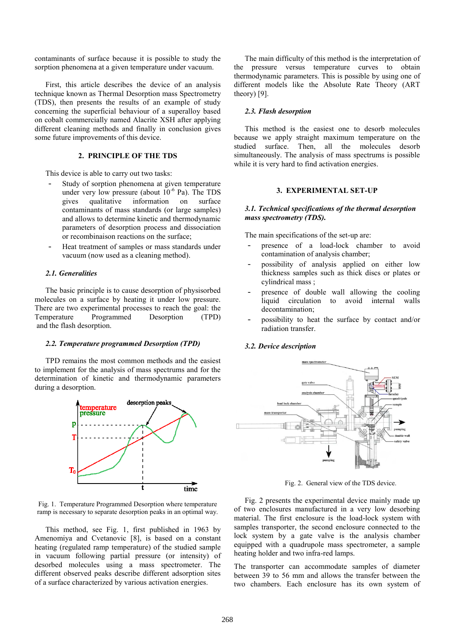contaminants of surface because it is possible to study the sorption phenomena at a given temperature under vacuum.

First, this article describes the device of an analysis technique known as Thermal Desorption mass Spectrometry (TDS), then presents the results of an example of study concerning the superficial behaviour of a superalloy based on cobalt commercially named Alacrite XSH after applying different cleaning methods and finally in conclusion gives some future improvements of this device.

## **2. PRINCIPLE OF THE TDS**

This device is able to carry out two tasks:

- Study of sorption phenomena at given temperature under very low pressure (about  $10^{-6}$  Pa). The TDS gives qualitative information on surface contaminants of mass standards (or large samples) and allows to determine kinetic and thermodynamic parameters of desorption process and dissociation or recombinaison reactions on the surface;
- Heat treatment of samples or mass standards under vacuum (now used as a cleaning method).

## *2.1. Generalities*

The basic principle is to cause desorption of physisorbed molecules on a surface by heating it under low pressure. There are two experimental processes to reach the goal: the Temperature Programmed Desorption (TPD) and the flash desorption.

#### *2.2. Temperature programmed Desorption (TPD)*

TPD remains the most common methods and the easiest to implement for the analysis of mass spectrums and for the determination of kinetic and thermodynamic parameters during a desorption.



Fig. 1. Temperature Programmed Desorption where temperature ramp is necessary to separate desorption peaks in an optimal way.

This method, see Fig. 1, first published in 1963 by Amenomiya and Cvetanovic [8], is based on a constant heating (regulated ramp temperature) of the studied sample in vacuum following partial pressure (or intensity) of desorbed molecules using a mass spectrometer. The different observed peaks describe different adsorption sites of a surface characterized by various activation energies.

The main difficulty of this method is the interpretation of the pressure versus temperature curves to obtain thermodynamic parameters. This is possible by using one of different models like the Absolute Rate Theory (ART theory) [9].

#### *2.3. Flash desorption*

This method is the easiest one to desorb molecules because we apply straight maximum temperature on the studied surface. Then, all the molecules desorb simultaneously. The analysis of mass spectrums is possible while it is very hard to find activation energies.

## **3. EXPERIMENTAL SET-UP**

#### *3.1. Technical specifications of the thermal desorption mass spectrometry (TDS).*

The main specifications of the set-up are:

- presence of a load-lock chamber to avoid contamination of analysis chamber;
- possibility of analysis applied on either low thickness samples such as thick discs or plates or cylindrical mass ;
- presence of double wall allowing the cooling liquid circulation to avoid internal walls decontamination;
- possibility to heat the surface by contact and/or radiation transfer.

#### *3.2. Device description*



Fig. 2. General view of the TDS device.

Fig. 2 presents the experimental device mainly made up of two enclosures manufactured in a very low desorbing material. The first enclosure is the load-lock system with samples transporter, the second enclosure connected to the lock system by a gate valve is the analysis chamber equipped with a quadrupole mass spectrometer, a sample heating holder and two infra-red lamps.

The transporter can accommodate samples of diameter between 39 to 56 mm and allows the transfer between the two chambers. Each enclosure has its own system of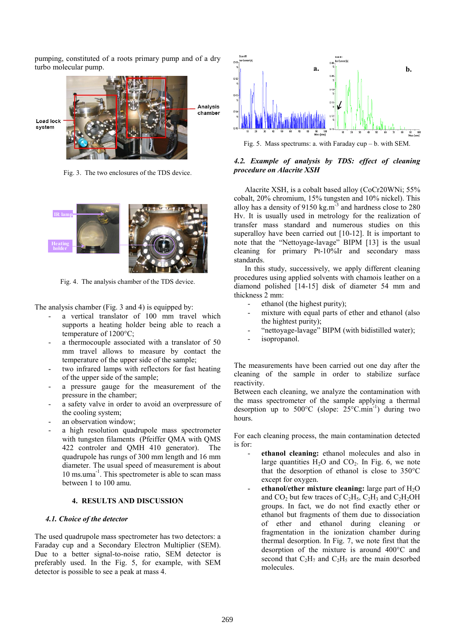pumping, constituted of a roots primary pump and of a dry turbo molecular pump.



Fig. 3. The two enclosures of the TDS device.



Fig. 4. The analysis chamber of the TDS device.

The analysis chamber (Fig. 3 and 4) is equipped by:

- a vertical translator of 100 mm travel which supports a heating holder being able to reach a temperature of 1200°C;
- a thermocouple associated with a translator of 50 mm travel allows to measure by contact the temperature of the upper side of the sample;
- two infrared lamps with reflectors for fast heating of the upper side of the sample;
- a pressure gauge for the measurement of the pressure in the chamber;
- a safety valve in order to avoid an overpressure of the cooling system;
- an observation window;
- a high resolution quadrupole mass spectrometer with tungsten filaments (Pfeiffer QMA with QMS 422 controler and QMH 410 generator). The quadrupole has rungs of 300 mm length and 16 mm diameter. The usual speed of measurement is about 10 ms.uma-1 . This spectrometer is able to scan mass between 1 to 100 amu.

#### **4. RESULTS AND DISCUSSION**

#### *4.1. Choice of the detector*

The used quadrupole mass spectrometer has two detectors: a Faraday cup and a Secondary Electron Multiplier (SEM). Due to a better signal-to-noise ratio, SEM detector is preferably used. In the Fig. 5, for example, with SEM detector is possible to see a peak at mass 4.



Fig. 5. Mass spectrums: a. with Faraday cup – b. with SEM.

## *4.2. Example of analysis by TDS: effect of cleaning procedure on Alacrite XSH*

Alacrite XSH, is a cobalt based alloy (CoCr20WNi; 55% cobalt, 20% chromium, 15% tungsten and 10% nickel). This alloy has a density of  $9150 \text{ kg.m}^{-3}$  and hardness close to 280 Hv. It is usually used in metrology for the realization of transfer mass standard and numerous studies on this superalloy have been carried out [10-12]. It is important to note that the "Nettoyage-lavage" BIPM [13] is the usual cleaning for primary Pt-10%Ir and secondary mass standards.

In this study, successively, we apply different cleaning procedures using applied solvents with chamois leather on a diamond polished [14-15] disk of diameter 54 mm and thickness 2 mm:

- ethanol (the highest purity);
- mixture with equal parts of ether and ethanol (also the hightest purity);
- "nettoyage-lavage" BIPM (with bidistilled water);
- isopropanol.

The measurements have been carried out one day after the cleaning of the sample in order to stabilize surface reactivity.

Between each cleaning, we analyze the contamination with the mass spectrometer of the sample applying a thermal desorption up to 500°C (slope: 25°C.min<sup>-1</sup>) during two hours.

For each cleaning process, the main contamination detected is for:

- **ethanol cleaning:** ethanol molecules and also in large quantities  $H_2O$  and  $CO_2$ . In Fig. 6, we note that the desorption of ethanol is close to 350°C except for oxygen.
- ethanol/ether mixture cleaning: large part of H<sub>2</sub>O and  $CO<sub>2</sub>$  but few traces of  $C<sub>2</sub>H<sub>5</sub>$ ,  $C<sub>2</sub>H<sub>3</sub>$  and  $C<sub>2</sub>H<sub>2</sub>OH$ groups. In fact, we do not find exactly ether or ethanol but fragments of them due to dissociation of ether and ethanol during cleaning or fragmentation in the ionization chamber during thermal desorption. In Fig. 7, we note first that the desorption of the mixture is around 400°C and second that  $C_2H_7$  and  $C_2H_5$  are the main desorbed molecules.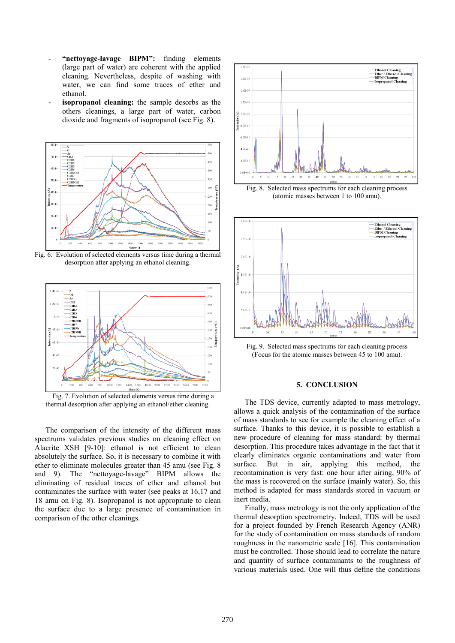- **"nettoyage-lavage BIPM":** finding elements (large part of water) are coherent with the applied cleaning. Nevertheless, despite of washing with water, we can find some traces of ether and ethanol.
- **isopropanol cleaning:** the sample desorbs as the others cleanings, a large part of water, carbon dioxide and fragments of isopropanol (see Fig. 8).



Fig. 6. Evolution of selected elements versus time during a thermal desorption after applying an ethanol cleaning.



Fig. 7. Evolution of selected elements versus time during a thermal desorption after applying an ethanol/ether cleaning.

The comparison of the intensity of the different mass spectrums validates previous studies on cleaning effect on Alacrite XSH [9-10]: ethanol is not efficient to clean absolutely the surface. So, it is necessary to combine it with ether to eliminate molecules greater than 45 amu (see Fig. 8 and 9). The "nettoyage-lavage" BIPM allows the eliminating of residual traces of ether and ethanol but contaminates the surface with water (see peaks at 16,17 and 18 amu on Fig. 8). Isopropanol is not appropriate to clean the surface due to a large presence of contamination in comparison of the other cleanings.



Fig. 8. Selected mass spectrums for each cleaning process (atomic masses between 1 to 100 amu).



Fig. 9. Selected mass spectrums for each cleaning process (Focus for the atomic masses between 45 to 100 amu).

## **5. CONCLUSION**

The TDS device, currently adapted to mass metrology, allows a quick analysis of the contamination of the surface of mass standards to see for example the cleaning effect of a surface. Thanks to this device, it is possible to establish a new procedure of cleaning for mass standard: by thermal desorption. This procedure takes advantage in the fact that it clearly eliminates organic contaminations and water from surface. But in air, applying this method, the recontamination is very fast: one hour after airing, 90% of the mass is recovered on the surface (mainly water). So, this method is adapted for mass standards stored in vacuum or inert media.

Finally, mass metrology is not the only application of the thermal desorption spectrometry. Indeed, TDS will be used for a project founded by French Research Agency (ANR) for the study of contamination on mass standards of random roughness in the nanometric scale [16]. This contamination must be controlled. Those should lead to correlate the nature and quantity of surface contaminants to the roughness of various materials used. One will thus define the conditions